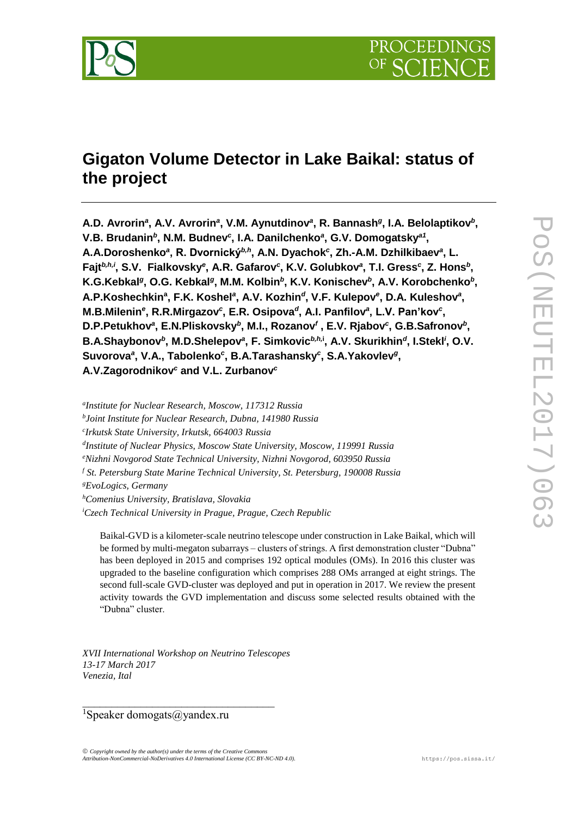

# **Gigaton Volume Detector in Lake Baikal: status of the project**

A.D. Avrorin<sup>a</sup>, A.V. Avrorin<sup>a</sup>, V.M. Aynutdinov<sup>a</sup>, R. Bannash<sup>g</sup>, I.A. Belolaptikov<sup>b</sup>, V.B. Brudanin<sup>b</sup>, N.M. Budnev<sup>c</sup>, I.A. Danilchenko<sup>a</sup>, G.V. Domogatsky<sup>a1</sup>, A.A.Doroshenko<sup>a</sup>, R. Dvornický<sup>b,h</sup>, A.N. Dyachok<sup>c</sup>, Zh.-A.M. Dzhilkibaev<sup>a</sup>, L. Fajt<sup>b,h,i</sup>, S.V. Fialkovsky<sup>e</sup>, A.R. Gafarov<sup>c</sup>, K.V. Golubkov<sup>a</sup>, T.I. Gress<sup>c</sup>, Z. Hons<sup>b</sup>, K.G.Kebkal<sup>g</sup>, O.G. Kebkal<sup>g</sup>, M.M. Kolbin<sup>b</sup>, K.V. Konischev<sup>b</sup>, A.V. Korobchenko<sup>b</sup>, **A.P.Koshechkin<sup>a</sup> , F.K. Koshel***<sup>a</sup>* **, A.V. Kozhin***<sup>d</sup>* **, V.F. Kulepov***<sup>e</sup>* **, D.A. Kuleshov***<sup>a</sup>* **,**  M.B.Milenin<sup>e</sup>, R.R.Mirgazov<sup>c</sup>, E.R. Osipova<sup>d</sup>, A.I. Panfilov<sup>a</sup>, L.V. Pan'kov<sup>c</sup>, D.P.Petukhov<sup>a</sup>, E.N.Pliskovsky<sup>b</sup>, M.I., Rozanov<sup>*f*</sup>, E.V. Rjabov<sup>c</sup>, G.B.Safronov<sup>b</sup>, B.A.Shaybonov<sup>b</sup>, M.D.Shelepov<sup>a</sup>, F. Simkovic<sup>b,h,i</sup>, A.V. Skurikhin<sup>d</sup>, I.Stekl<sup>*i*</sup>, O.V. Suvorova<sup>a</sup>, V.A., Tabolenko<sup>c</sup>, B.A.Tarashansky<sup>c</sup>, S.A.Yakovlev<sup>g</sup>, **A.V.Zagorodnikov***<sup>c</sup>* **and V.L. Zurbanov***<sup>c</sup>*

*a Institute for Nuclear Research, Moscow, 117312 Russia b Joint Institute for Nuclear Research, Dubna, 141980 Russia c Irkutsk State University, Irkutsk, 664003 Russia d Institute of Nuclear Physics, Moscow State University, Moscow, 119991 Russia <sup>e</sup>Nizhni Novgorod State Technical University, Nizhni Novgorod, 603950 Russia <sup>f</sup> St. Petersburg State Marine Technical University, St. Petersburg, 190008 Russia <sup>g</sup>EvoLogics, Germany <sup>h</sup>Comenius University, Bratislava, Slovakia <sup>i</sup>Czech Technical University in Prague, Prague, Czech Republic*

Baikal-GVD is a kilometer-scale neutrino telescope under construction in Lake Baikal, which will be formed by multi-megaton subarrays – clusters of strings. A first demonstration cluster "Dubna" has been deployed in 2015 and comprises 192 optical modules (OMs). In 2016 this cluster was upgraded to the baseline configuration which comprises 288 OMs arranged at eight strings. The second full-scale GVD-cluster was deployed and put in operation in 2017. We review the present activity towards the GVD implementation and discuss some selected results obtained with the "Dubna" cluster.

*XVII International Workshop on Neutrino Telescopes 13-17 March 2017 Venezia, Ital*

 $\mathcal{L}=\mathcal{L}=\mathcal{L}=\mathcal{L}=\mathcal{L}=\mathcal{L}=\mathcal{L}=\mathcal{L}=\mathcal{L}=\mathcal{L}=\mathcal{L}=\mathcal{L}=\mathcal{L}=\mathcal{L}=\mathcal{L}=\mathcal{L}=\mathcal{L}=\mathcal{L}=\mathcal{L}=\mathcal{L}=\mathcal{L}=\mathcal{L}=\mathcal{L}=\mathcal{L}=\mathcal{L}=\mathcal{L}=\mathcal{L}=\mathcal{L}=\mathcal{L}=\mathcal{L}=\mathcal{L}=\mathcal{L}=\mathcal{L}=\mathcal{L}=\mathcal{L}=\mathcal{L}=\mathcal{$ 

<sup>1</sup>Speaker domogats@yandex.ru

 $\odot$  Copyright owned by the author(s) under the terms of the Creative Comm *Attribution-NonCommercial-NoDerivatives 4.0 International License (CC BY-NC-ND 4.0).* [https://pos.sissa.it/](http://pos.sissa.it/)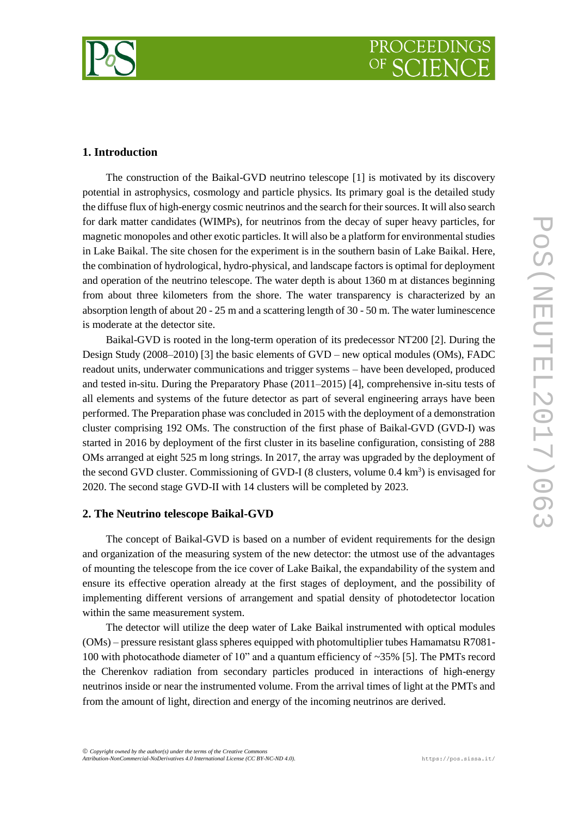



## **1. Introduction**

The construction of the Baikal-GVD neutrino telescope [1] is motivated by its discovery potential in astrophysics, cosmology and particle physics. Its primary goal is the detailed study the diffuse flux of high-energy cosmic neutrinos and the search for their sources. It will also search for dark matter candidates (WIMPs), for neutrinos from the decay of super heavy particles, for magnetic monopoles and other exotic particles. It will also be a platform for environmental studies in Lake Baikal. The site chosen for the experiment is in the southern basin of Lake Baikal. Here, the combination of hydrological, hydro-physical, and landscape factors is optimal for deployment and operation of the neutrino telescope. The water depth is about 1360 m at distances beginning from about three kilometers from the shore. The water transparency is characterized by an absorption length of about 20 - 25 m and a scattering length of 30 - 50 m. The water luminescence is moderate at the detector site.

Baikal-GVD is rooted in the long-term operation of its predecessor NT200 [2]. During the Design Study (2008–2010) [3] the basic elements of GVD – new optical modules (OMs), FADC readout units, underwater communications and trigger systems – have been developed, produced and tested in-situ. During the Preparatory Phase (2011–2015) [4], comprehensive in-situ tests of all elements and systems of the future detector as part of several engineering arrays have been performed. The Preparation phase was concluded in 2015 with the deployment of a demonstration cluster comprising 192 OMs. The construction of the first phase of Baikal-GVD (GVD-I) was started in 2016 by deployment of the first cluster in its baseline configuration, consisting of 288 OMs arranged at eight 525 m long strings. In 2017, the array was upgraded by the deployment of the second GVD cluster. Commissioning of GVD-I (8 clusters, volume 0.4 km<sup>3</sup>) is envisaged for 2020. The second stage GVD-II with 14 clusters will be completed by 2023.

#### **2. The Neutrino telescope Baikal-GVD**

The concept of Baikal-GVD is based on a number of evident requirements for the design and organization of the measuring system of the new detector: the utmost use of the advantages of mounting the telescope from the ice cover of Lake Baikal, the expandability of the system and ensure its effective operation already at the first stages of deployment, and the possibility of implementing different versions of arrangement and spatial density of photodetector location within the same measurement system.

The detector will utilize the deep water of Lake Baikal instrumented with optical modules (OMs) – pressure resistant glass spheres equipped with photomultiplier tubes Hamamatsu R7081- 100 with photocathode diameter of 10" and a quantum efficiency of ~35% [5]. The PMTs record the Cherenkov radiation from secondary particles produced in interactions of high-energy neutrinos inside or near the instrumented volume. From the arrival times of light at the PMTs and from the amount of light, direction and energy of the incoming neutrinos are derived.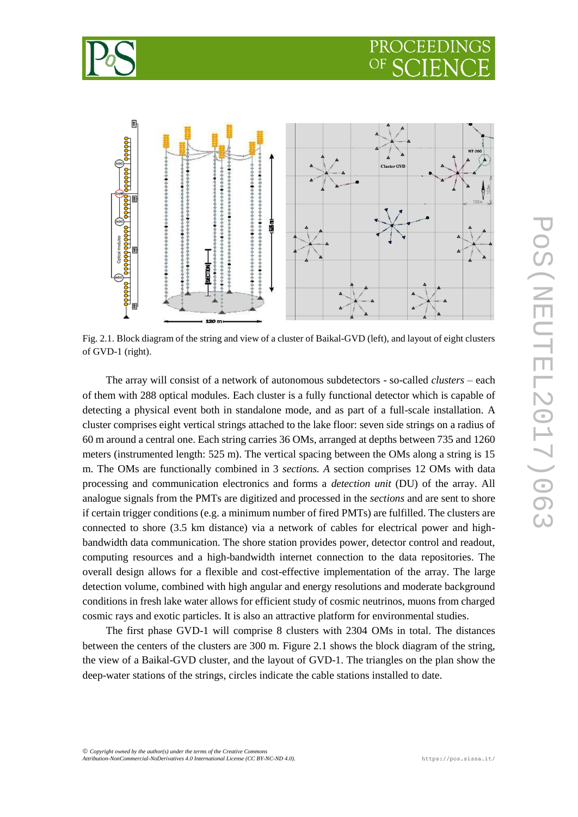



Fig. 2.1. Block diagram of the string and view of a cluster of Baikal-GVD (left), and layout of eight clusters of GVD-1 (right).

The array will consist of a network of autonomous subdetectors - so-called *clusters* – each of them with 288 optical modules. Each cluster is a fully functional detector which is capable of detecting a physical event both in standalone mode, and as part of a full-scale installation. A cluster comprises eight vertical strings attached to the lake floor: seven side strings on a radius of 60 m around a central one. Each string carries 36 OMs, arranged at depths between 735 and 1260 meters (instrumented length: 525 m). The vertical spacing between the OMs along a string is 15 m. The OMs are functionally combined in 3 *sections. A* section comprises 12 OMs with data processing and communication electronics and forms a *detection unit* (DU) of the array. All analogue signals from the PMTs are digitized and processed in the *sections* and are sent to shore if certain trigger conditions (e.g. a minimum number of fired PMTs) are fulfilled. The clusters are connected to shore (3.5 km distance) via a network of cables for electrical power and highbandwidth data communication. The shore station provides power, detector control and readout, computing resources and a high-bandwidth internet connection to the data repositories. The overall design allows for a flexible and cost-effective implementation of the array. The large detection volume, combined with high angular and energy resolutions and moderate background conditions in fresh lake water allows for efficient study of cosmic neutrinos, muons from charged cosmic rays and exotic particles. It is also an attractive platform for environmental studies.

The first phase GVD-1 will comprise 8 clusters with 2304 OMs in total. The distances between the centers of the clusters are 300 m. Figure 2.1 shows the block diagram of the string, the view of a Baikal-GVD cluster, and the layout of GVD-1. The triangles on the plan show the deep-water stations of the strings, circles indicate the cable stations installed to date.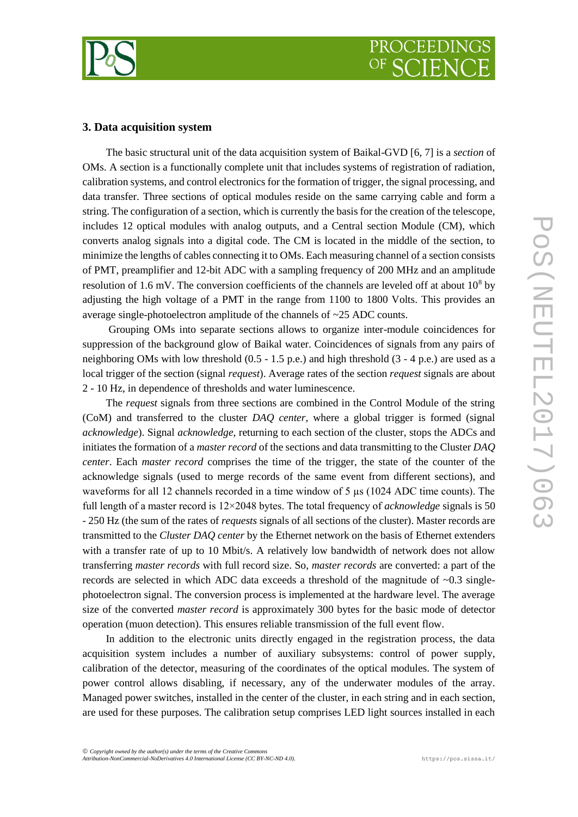

## **3. Data acquisition system**

The basic structural unit of the data acquisition system of Baikal-GVD [6, 7] is a *section* of OMs. A section is a functionally complete unit that includes systems of registration of radiation, calibration systems, and control electronics for the formation of trigger, the signal processing, and data transfer. Three sections of optical modules reside on the same carrying cable and form a string. The configuration of a section, which is currently the basis for the creation of the telescope, includes 12 optical modules with analog outputs, and a Central section Module (CM), which converts analog signals into a digital code. The CM is located in the middle of the section, to minimize the lengths of cables connecting it to OMs. Each measuring channel of a section consists of PMT, preamplifier and 12-bit ADC with a sampling frequency of 200 MHz and an amplitude resolution of 1.6 mV. The conversion coefficients of the channels are leveled off at about  $10^8$  by adjusting the high voltage of a PMT in the range from 1100 to 1800 Volts. This provides an average single-photoelectron amplitude of the channels of ~25 ADC counts.

Grouping OMs into separate sections allows to organize inter-module coincidences for suppression of the background glow of Baikal water. Coincidences of signals from any pairs of neighboring OMs with low threshold (0.5 - 1.5 p.e.) and high threshold (3 - 4 p.e.) are used as a local trigger of the section (signal *request*). Average rates of the section *request* signals are about 2 - 10 Hz, in dependence of thresholds and water luminescence.

The *request* signals from three sections are combined in the Control Module of the string (CoM) and transferred to the cluster *DAQ center*, where a global trigger is formed (signal *acknowledge*). Signal *acknowledge*, returning to each section of the cluster, stops the ADCs and initiates the formation of a *master record* of the sections and data transmitting to the Cluster *DAQ center*. Each *master record* comprises the time of the trigger, the state of the counter of the acknowledge signals (used to merge records of the same event from different sections), and waveforms for all 12 channels recorded in a time window of 5  $\mu$ s (1024 ADC time counts). The full length of a master record is 12×2048 bytes. The total frequency of *acknowledge* signals is 50 - 250 Hz (the sum of the rates of *requests* signals of all sections of the cluster). Master records are transmitted to the *Cluster DAQ center* by the Ethernet network on the basis of Ethernet extenders with a transfer rate of up to 10 Mbit/s. A relatively low bandwidth of network does not allow transferring *master records* with full record size. So, *master records* are converted: a part of the records are selected in which ADC data exceeds a threshold of the magnitude of  $\sim 0.3$  singlephotoelectron signal. The conversion process is implemented at the hardware level. The average size of the converted *master record* is approximately 300 bytes for the basic mode of detector operation (muon detection). This ensures reliable transmission of the full event flow.

In addition to the electronic units directly engaged in the registration process, the data acquisition system includes a number of auxiliary subsystems: control of power supply, calibration of the detector, measuring of the coordinates of the optical modules. The system of power control allows disabling, if necessary, any of the underwater modules of the array. Managed power switches, installed in the center of the cluster, in each string and in each section, are used for these purposes. The calibration setup comprises LED light sources installed in each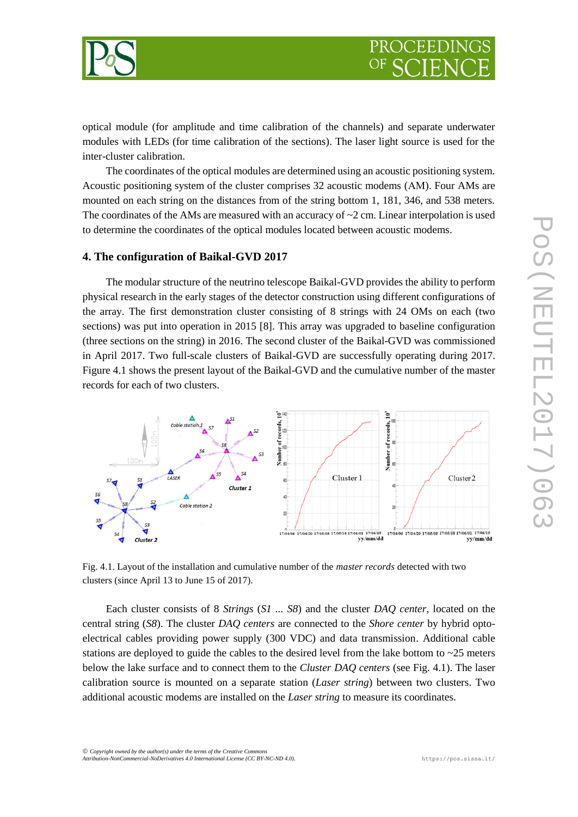

optical module (for amplitude and time calibration of the channels) and separate underwater modules with LEDs (for time calibration of the sections). The laser light source is used for the inter-cluster calibration.

The coordinates of the optical modules are determined using an acoustic positioning system. Acoustic positioning system of the cluster comprises 32 acoustic modems (АМ). Four AMs are mounted on each string on the distances from of the string bottom 1, 181, 346, and 538 meters. The coordinates of the AMs are measured with an accuracy of  $\sim$ 2 cm. Linear interpolation is used to determine the coordinates of the optical modules located between acoustic modems.

#### **4. The configuration of Baikal-GVD 2017**

The modular structure of the neutrino telescope Baikal-GVD provides the ability to perform physical research in the early stages of the detector construction using different configurations of the array. The first demonstration cluster consisting of 8 strings with 24 OMs on each (two sections) was put into operation in 2015 [8]. This array was upgraded to baseline configuration (three sections on the string) in 2016. The second cluster of the Baikal-GVD was commissioned in April 2017. Two full-scale clusters of Baikal-GVD are successfully operating during 2017. Figure 4.1 shows the present layout of the Baikal-GVD and the cumulative number of the master records for each of two clusters.



Fig. 4.1. Layout of the installation and cumulative number of the *master records* detected with two clusters (since April 13 to June 15 of 2017).

Each cluster consists of 8 *Strings* (*S1 ... S8*) and the cluster *DAQ center*, located on the central string (*S8*). The cluster *DAQ centers* are connected to the *Shore center* by hybrid optoelectrical cables providing power supply (300 VDC) and data transmission. Additional cable stations are deployed to guide the cables to the desired level from the lake bottom to  $\sim$  25 meters below the lake surface and to connect them to the *Cluster DAQ centers* (see Fig. 4.1). The laser calibration source is mounted on a separate station (*Laser string*) between two clusters. Two additional acoustic modems are installed on the *Laser string* to measure its coordinates.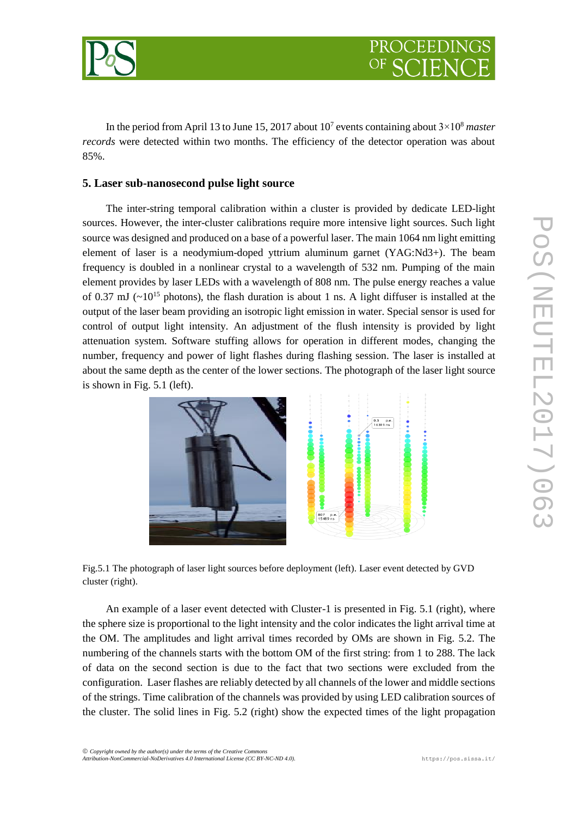

In the period from April 13 to June 15, 2017 about 10<sup>7</sup> events containing about 3×10<sup>8</sup> *master records* were detected within two months. The efficiency of the detector operation was about 85%.

## **5. Laser sub-nanosecond pulse light source**

The inter-string temporal calibration within a cluster is provided by dedicate LED-light sources. However, the inter-cluster calibrations require more intensive light sources. Such light source was designed and produced on a base of a powerful laser. The main 1064 nm light emitting element of laser is a neodymium-doped yttrium aluminum garnet (YAG:Nd3+). The beam frequency is doubled in a nonlinear crystal to a wavelength of 532 nm. Pumping of the main element provides by laser LEDs with a wavelength of 808 nm. The pulse energy reaches a value of 0.37 mJ ( $\sim$ 10<sup>15</sup> photons), the flash duration is about 1 ns. A light diffuser is installed at the output of the laser beam providing an isotropic light emission in water. Special sensor is used for control of output light intensity. An adjustment of the flush intensity is provided by light attenuation system. Software stuffing allows for operation in different modes, changing the number, frequency and power of light flashes during flashing session. The laser is installed at about the same depth as the center of the lower sections. The photograph of the laser light source is shown in Fig. 5.1 (left).



Fig.5.1 The photograph of laser light sources before deployment (left). Laser event detected by GVD cluster (right).

An example of a laser event detected with Cluster-1 is presented in Fig. 5.1 (right), where the sphere size is proportional to the light intensity and the color indicates the light arrival time at the OM. The amplitudes and light arrival times recorded by OMs are shown in Fig. 5.2. The numbering of the channels starts with the bottom OM of the first string: from 1 to 288. The lack of data on the second section is due to the fact that two sections were excluded from the configuration. Laser flashes are reliably detected by all channels of the lower and middle sections of the strings. Time calibration of the channels was provided by using LED calibration sources of the cluster. The solid lines in Fig. 5.2 (right) show the expected times of the light propagation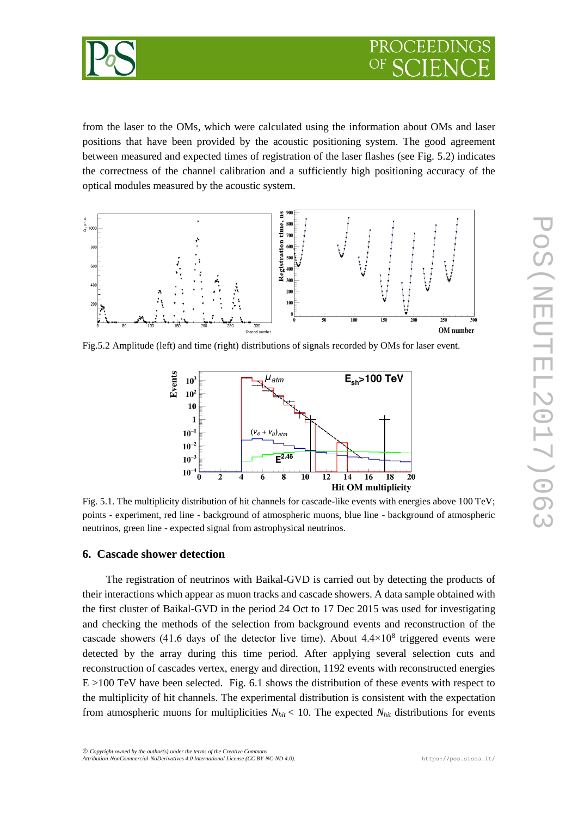

from the laser to the OMs, which were calculated using the information about OMs and laser positions that have been provided by the acoustic positioning system. The good agreement between measured and expected times of registration of the laser flashes (see Fig. 5.2) indicates the correctness of the channel calibration and a sufficiently high positioning accuracy of the optical modules measured by the acoustic system.



Fig.5.2 Amplitude (left) and time (right) distributions of signals recorded by OMs for laser event.



Fig. 5.1. The multiplicity distribution of hit channels for cascade-like events with energies above 100 TeV; points - experiment, red line - background of atmospheric muons, blue line - background of atmospheric neutrinos, green line - expected signal from astrophysical neutrinos.

#### **6. Cascade shower detection**

The registration of neutrinos with Baikal-GVD is carried out by detecting the products of their interactions which appear as muon tracks and cascade showers. A data sample obtained with the first cluster of Baikal-GVD in the period 24 Oct to 17 Dec 2015 was used for investigating and checking the methods of the selection from background events and reconstruction of the cascade showers (41.6 days of the detector live time). About  $4.4 \times 10^8$  triggered events were detected by the array during this time period. After applying several selection cuts and reconstruction of cascades vertex, energy and direction, 1192 events with reconstructed energies E >100 TeV have been selected. Fig. 6.1 shows the distribution of these events with respect to the multiplicity of hit channels. The experimental distribution is consistent with the expectation from atmospheric muons for multiplicities  $N_{hit}$  < 10. The expected  $N_{hit}$  distributions for events